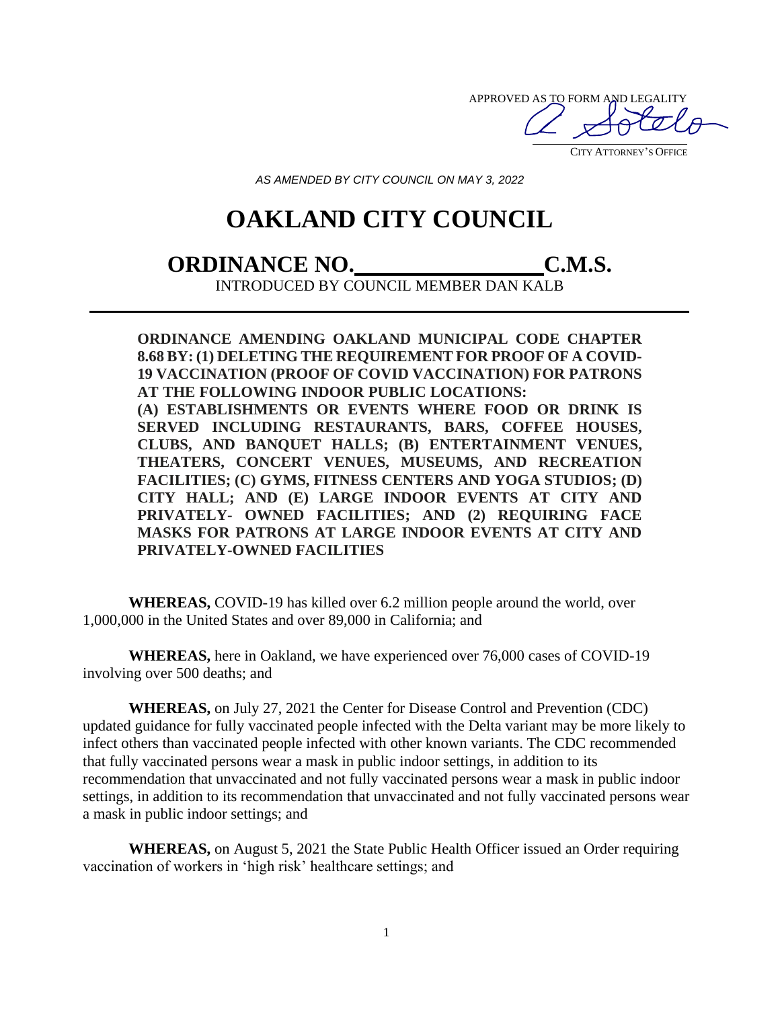APPROVED AS TO FORM AND LEGALITY

CITY ATTORNEY'S OFFICE

*AS AMENDED BY CITY COUNCIL ON MAY 3, 2022*

# **OAKLAND CITY COUNCIL**

## **ORDINANCE NO. C.M.S.**

INTRODUCED BY COUNCIL MEMBER DAN KALB

**ORDINANCE AMENDING OAKLAND MUNICIPAL CODE CHAPTER 8.68 BY: (1) DELETING THE REQUIREMENT FOR PROOF OF A COVID-19 VACCINATION (PROOF OF COVID VACCINATION) FOR PATRONS AT THE FOLLOWING INDOOR PUBLIC LOCATIONS: (A) ESTABLISHMENTS OR EVENTS WHERE FOOD OR DRINK IS SERVED INCLUDING RESTAURANTS, BARS, COFFEE HOUSES, CLUBS, AND BANQUET HALLS; (B) ENTERTAINMENT VENUES, THEATERS, CONCERT VENUES, MUSEUMS, AND RECREATION FACILITIES; (C) GYMS, FITNESS CENTERS AND YOGA STUDIOS; (D) CITY HALL; AND (E) LARGE INDOOR EVENTS AT CITY AND PRIVATELY- OWNED FACILITIES; AND (2) REQUIRING FACE MASKS FOR PATRONS AT LARGE INDOOR EVENTS AT CITY AND PRIVATELY-OWNED FACILITIES**

**WHEREAS,** COVID-19 has killed over 6.2 million people around the world, over 1,000,000 in the United States and over 89,000 in California; and

**WHEREAS,** here in Oakland, we have experienced over 76,000 cases of COVID-19 involving over 500 deaths; and

**WHEREAS,** on July 27, 2021 the Center for Disease Control and Prevention (CDC) updated guidance for fully vaccinated people infected with the Delta variant may be more likely to infect others than vaccinated people infected with other known variants. The CDC recommended that fully vaccinated persons wear a mask in public indoor settings, in addition to its recommendation that unvaccinated and not fully vaccinated persons wear a mask in public indoor settings, in addition to its recommendation that unvaccinated and not fully vaccinated persons wear a mask in public indoor settings; and

**WHEREAS,** on August 5, 2021 the State Public Health Officer issued an Order requiring vaccination of workers in 'high risk' healthcare settings; and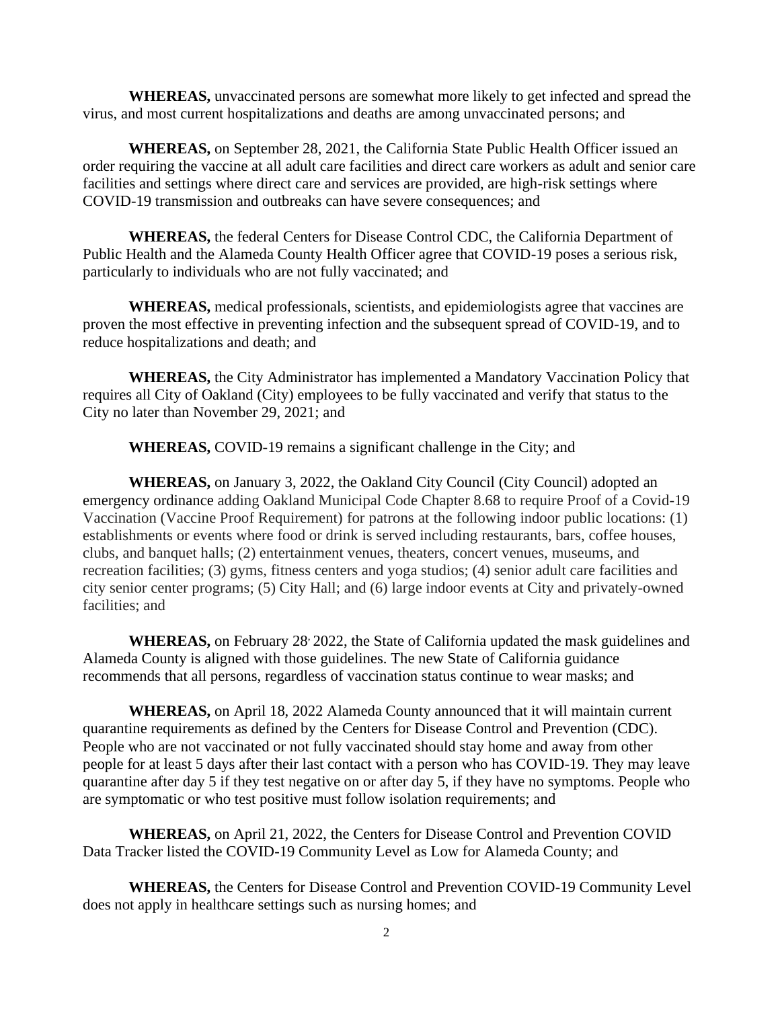**WHEREAS,** unvaccinated persons are somewhat more likely to get infected and spread the virus, and most current hospitalizations and deaths are among unvaccinated persons; and

**WHEREAS,** on September 28, 2021, the California State Public Health Officer issued an order requiring the vaccine at all adult care facilities and direct care workers as adult and senior care facilities and settings where direct care and services are provided, are high-risk settings where COVID-19 transmission and outbreaks can have severe consequences; and

**WHEREAS,** the federal Centers for Disease Control CDC, the California Department of Public Health and the Alameda County Health Officer agree that COVID-19 poses a serious risk, particularly to individuals who are not fully vaccinated; and

**WHEREAS,** medical professionals, scientists, and epidemiologists agree that vaccines are proven the most effective in preventing infection and the subsequent spread of COVID-19, and to reduce hospitalizations and death; and

**WHEREAS,** the City Administrator has implemented a Mandatory Vaccination Policy that requires all City of Oakland (City) employees to be fully vaccinated and verify that status to the City no later than November 29, 2021; and

**WHEREAS,** COVID-19 remains a significant challenge in the City; and

**WHEREAS,** on January 3, 2022, the Oakland City Council (City Council) adopted an emergency ordinance adding Oakland Municipal Code Chapter 8.68 to require Proof of a Covid-19 Vaccination (Vaccine Proof Requirement) for patrons at the following indoor public locations: (1) establishments or events where food or drink is served including restaurants, bars, coffee houses, clubs, and banquet halls; (2) entertainment venues, theaters, concert venues, museums, and recreation facilities; (3) gyms, fitness centers and yoga studios; (4) senior adult care facilities and city senior center programs; (5) City Hall; and (6) large indoor events at City and privately-owned facilities; and

WHEREAS, on February 28<sup>,</sup> 2022, the State of California updated the mask guidelines and Alameda County is aligned with those guidelines. The new State of California guidance recommends that all persons, regardless of vaccination status continue to wear masks; and

**WHEREAS,** on April 18, 2022 Alameda County announced that it will maintain current quarantine requirements as defined by the Centers for Disease Control and Prevention (CDC). People who are not vaccinated or not fully vaccinated should stay home and away from other people for at least 5 days after their last contact with a person who has COVID-19. They may leave quarantine after day 5 if they test negative on or after day 5, if they have no symptoms. People who are symptomatic or who test positive must follow isolation requirements; and

**WHEREAS,** on April 21, 2022, the Centers for Disease Control and Prevention COVID Data Tracker listed the COVID-19 Community Level as Low for Alameda County; and

**WHEREAS,** the Centers for Disease Control and Prevention COVID-19 Community Level does not apply in healthcare settings such as nursing homes; and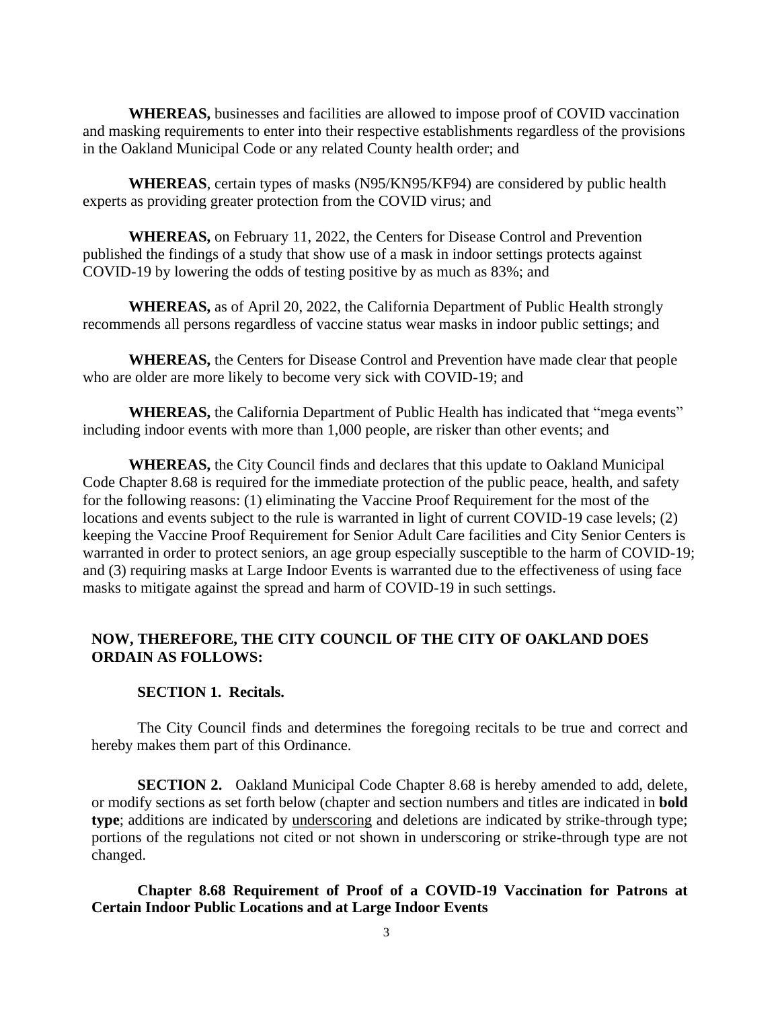**WHEREAS,** businesses and facilities are allowed to impose proof of COVID vaccination and masking requirements to enter into their respective establishments regardless of the provisions in the Oakland Municipal Code or any related County health order; and

**WHEREAS**, certain types of masks (N95/KN95/KF94) are considered by public health experts as providing greater protection from the COVID virus; and

**WHEREAS,** on February 11, 2022, the Centers for Disease Control and Prevention published the findings of a study that show use of a mask in indoor settings protects against COVID-19 by lowering the odds of testing positive by as much as 83%; and

**WHEREAS,** as of April 20, 2022, the California Department of Public Health strongly recommends all persons regardless of vaccine status wear masks in indoor public settings; and

**WHEREAS,** the Centers for Disease Control and Prevention have made clear that people who are older are more likely to become very sick with COVID-19; and

**WHEREAS,** the California Department of Public Health has indicated that "mega events" including indoor events with more than 1,000 people, are risker than other events; and

**WHEREAS,** the City Council finds and declares that this update to Oakland Municipal Code Chapter 8.68 is required for the immediate protection of the public peace, health, and safety for the following reasons: (1) eliminating the Vaccine Proof Requirement for the most of the locations and events subject to the rule is warranted in light of current COVID-19 case levels; (2) keeping the Vaccine Proof Requirement for Senior Adult Care facilities and City Senior Centers is warranted in order to protect seniors, an age group especially susceptible to the harm of COVID-19; and (3) requiring masks at Large Indoor Events is warranted due to the effectiveness of using face masks to mitigate against the spread and harm of COVID-19 in such settings.

## **NOW, THEREFORE, THE CITY COUNCIL OF THE CITY OF OAKLAND DOES ORDAIN AS FOLLOWS:**

#### **SECTION 1. Recitals.**

The City Council finds and determines the foregoing recitals to be true and correct and hereby makes them part of this Ordinance.

**SECTION 2.** Oakland Municipal Code Chapter 8.68 is hereby amended to add, delete, or modify sections as set forth below (chapter and section numbers and titles are indicated in **bold type**; additions are indicated by underscoring and deletions are indicated by strike-through type; portions of the regulations not cited or not shown in underscoring or strike-through type are not changed.

## **Chapter 8.68 Requirement of Proof of a COVID-19 Vaccination for Patrons at Certain Indoor Public Locations and at Large Indoor Events**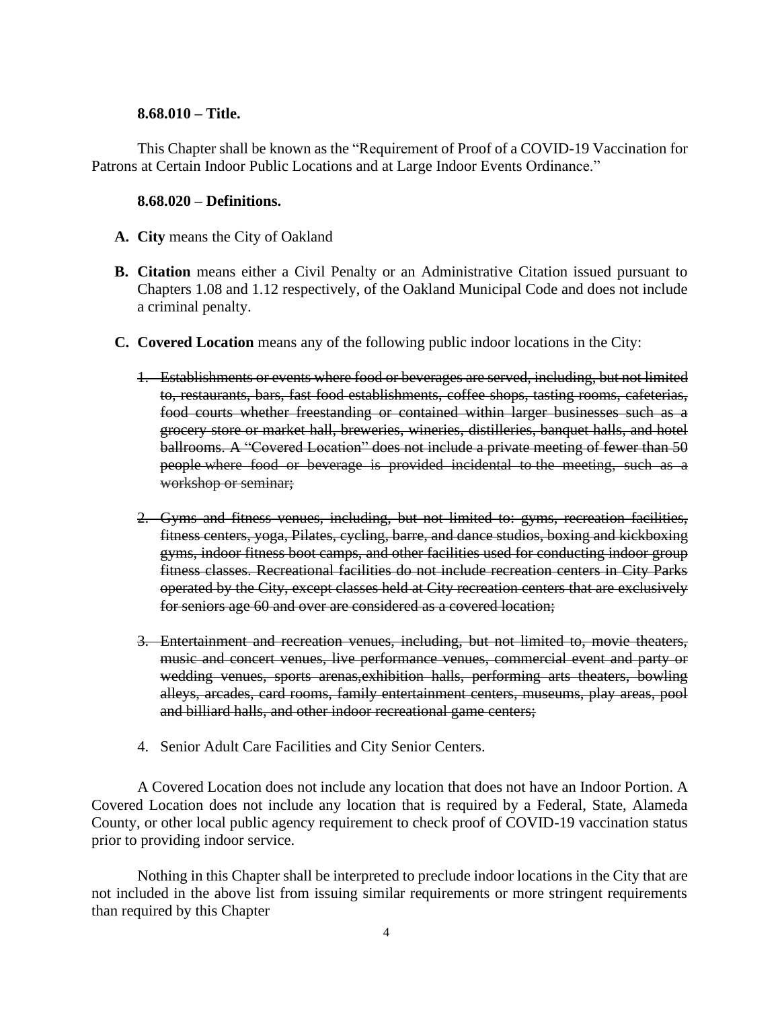#### **8.68.010 – Title.**

This Chapter shall be known as the "Requirement of Proof of a COVID-19 Vaccination for Patrons at Certain Indoor Public Locations and at Large Indoor Events Ordinance."

## **8.68.020 – Definitions.**

- **A. City** means the City of Oakland
- **B. Citation** means either a Civil Penalty or an Administrative Citation issued pursuant to Chapters 1.08 and 1.12 respectively, of the Oakland Municipal Code and does not include a criminal penalty.
- **C. Covered Location** means any of the following public indoor locations in the City:
	- 1. Establishments or events where food or beverages are served, including, but not limited to, restaurants, bars, fast food establishments, coffee shops, tasting rooms, cafeterias, food courts whether freestanding or contained within larger businesses such as a grocery store or market hall, breweries, wineries, distilleries, banquet halls, and hotel ballrooms. A "Covered Location" does not include a private meeting of fewer than 50 people where food or beverage is provided incidental to the meeting, such as a workshop or seminar;
	- 2. Gyms and fitness venues, including, but not limited to: gyms, recreation facilities, fitness centers, yoga, Pilates, cycling, barre, and dance studios, boxing and kickboxing gyms, indoor fitness boot camps, and other facilities used for conducting indoor group fitness classes. Recreational facilities do not include recreation centers in City Parks operated by the City, except classes held at City recreation centers that are exclusively for seniors age 60 and over are considered as a covered location;
	- 3. Entertainment and recreation venues, including, but not limited to, movie theaters, music and concert venues, live performance venues, commercial event and party or wedding venues, sports arenas,exhibition halls, performing arts theaters, bowling alleys, arcades, card rooms, family entertainment centers, museums, play areas, pool and billiard halls, and other indoor recreational game centers;
	- 4. Senior Adult Care Facilities and City Senior Centers.

A Covered Location does not include any location that does not have an Indoor Portion. A Covered Location does not include any location that is required by a Federal, State, Alameda County, or other local public agency requirement to check proof of COVID-19 vaccination status prior to providing indoor service.

Nothing in this Chapter shall be interpreted to preclude indoor locations in the City that are not included in the above list from issuing similar requirements or more stringent requirements than required by this Chapter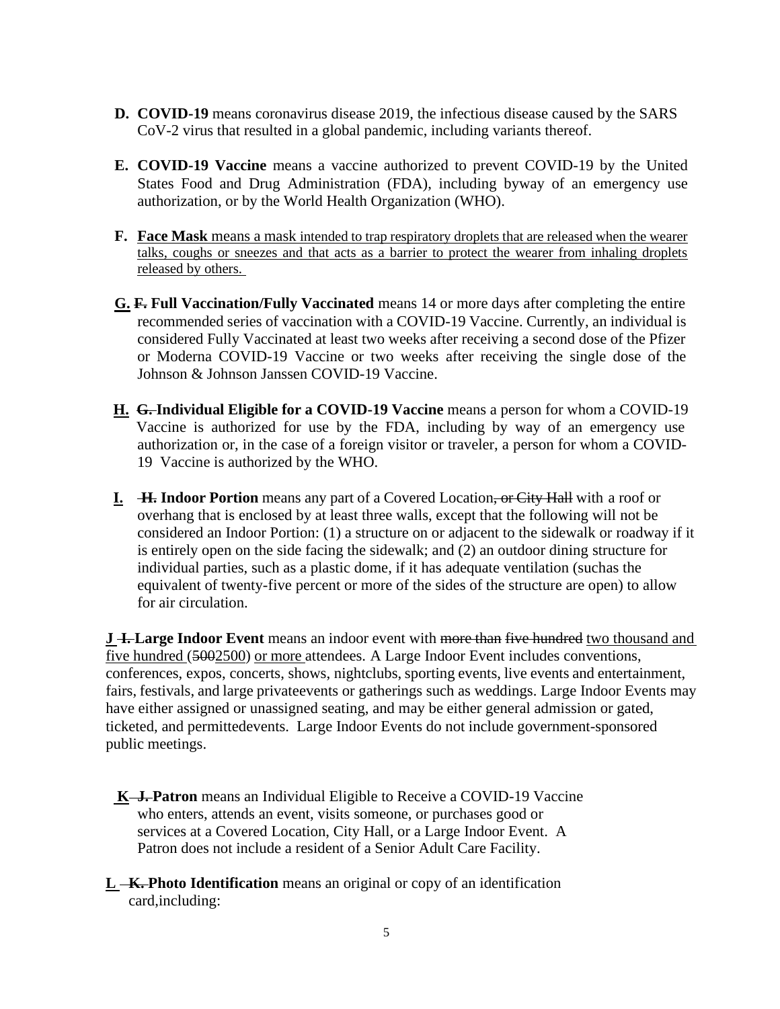- **D. COVID-19** means coronavirus disease 2019, the infectious disease caused by the SARS CoV-2 virus that resulted in a global pandemic, including variants thereof.
- **E. COVID-19 Vaccine** means a vaccine authorized to prevent COVID-19 by the United States Food and Drug Administration (FDA), including byway of an emergency use authorization, or by the World Health Organization (WHO).
- **F. Face Mask** means a mask intended to trap respiratory droplets that are released when the wearer talks, coughs or sneezes and that acts as a barrier to protect the wearer from inhaling droplets released by others.
- **G. F. Full Vaccination/Fully Vaccinated** means 14 or more days after completing the entire recommended series of vaccination with a COVID-19 Vaccine. Currently, an individual is considered Fully Vaccinated at least two weeks after receiving a second dose of the Pfizer or Moderna COVID-19 Vaccine or two weeks after receiving the single dose of the Johnson & Johnson Janssen COVID-19 Vaccine.
- **H. G. Individual Eligible for a COVID-19 Vaccine** means a person for whom a COVID-19 Vaccine is authorized for use by the FDA, including by way of an emergency use authorization or, in the case of a foreign visitor or traveler, a person for whom a COVID-19 Vaccine is authorized by the WHO.
- **I. H. Indoor Portion** means any part of a Covered Location, or City Hall with a roof or overhang that is enclosed by at least three walls, except that the following will not be considered an Indoor Portion: (1) a structure on or adjacent to the sidewalk or roadway if it is entirely open on the side facing the sidewalk; and (2) an outdoor dining structure for individual parties, such as a plastic dome, if it has adequate ventilation (suchas the equivalent of twenty-five percent or more of the sides of the structure are open) to allow for air circulation.

**J I. Large Indoor Event** means an indoor event with more than five hundred two thousand and five hundred (5002500) or more attendees. A Large Indoor Event includes conventions, conferences, expos, concerts, shows, nightclubs, sporting events, live events and entertainment, fairs, festivals, and large privateevents or gatherings such as weddings. Large Indoor Events may have either assigned or unassigned seating, and may be either general admission or gated, ticketed, and permittedevents. Large Indoor Events do not include government-sponsored public meetings.

- **K J. Patron** means an Individual Eligible to Receive a COVID-19 Vaccine who enters, attends an event, visits someone, or purchases good or services at a Covered Location, City Hall, or a Large Indoor Event. A Patron does not include a resident of a Senior Adult Care Facility.
- L **K.** Photo Identification means an original or copy of an identification card,including: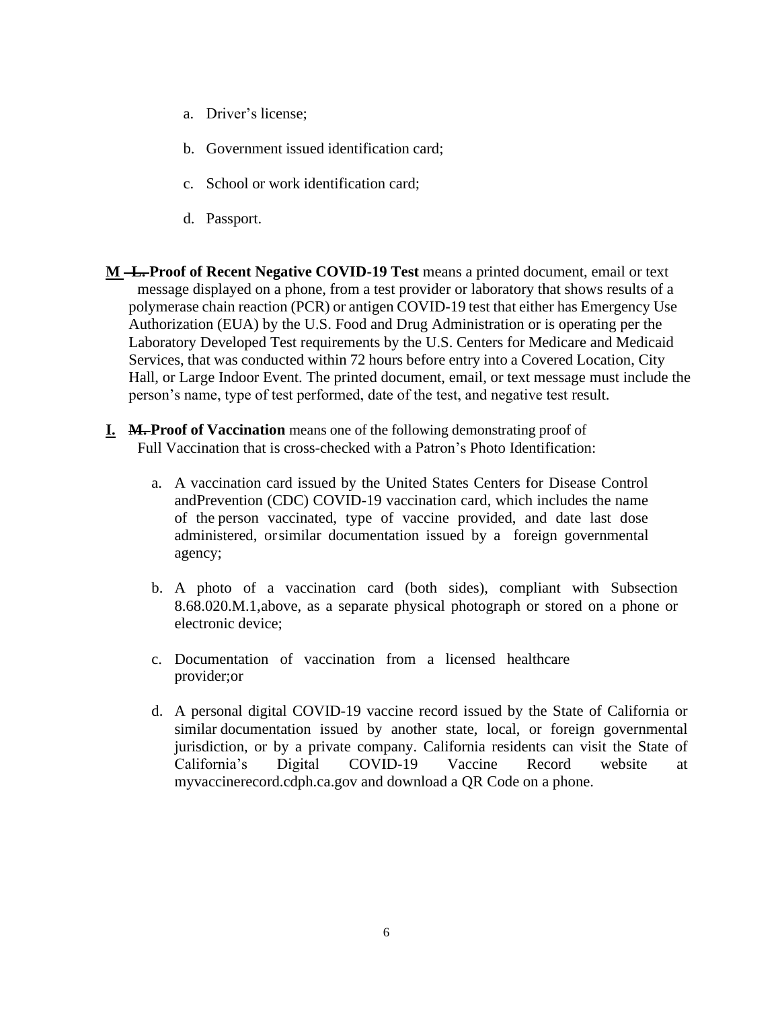- a. Driver's license;
- b. Government issued identification card;
- c. School or work identification card;
- d. Passport.
- **M L. Proof of Recent Negative COVID-19 Test** means a printed document, email or text message displayed on a phone, from a test provider or laboratory that shows results of a polymerase chain reaction (PCR) or antigen COVID-19 test that either has Emergency Use Authorization (EUA) by the U.S. Food and Drug Administration or is operating per the Laboratory Developed Test requirements by the U.S. Centers for Medicare and Medicaid Services, that was conducted within 72 hours before entry into a Covered Location, City Hall, or Large Indoor Event. The printed document, email, or text message must include the person's name, type of test performed, date of the test, and negative test result.
- **I. M. Proof of Vaccination** means one of the following demonstrating proof of Full Vaccination that is cross-checked with a Patron's Photo Identification:
	- a. A vaccination card issued by the United States Centers for Disease Control andPrevention (CDC) COVID-19 vaccination card, which includes the name of the person vaccinated, type of vaccine provided, and date last dose administered, orsimilar documentation issued by a foreign governmental agency;
	- b. A photo of a vaccination card (both sides), compliant with Subsection 8.68.020.M.1,above, as a separate physical photograph or stored on a phone or electronic device;
	- c. Documentation of vaccination from a licensed healthcare provider;or
	- d. A personal digital COVID-19 vaccine record issued by the State of California or similar documentation issued by another state, local, or foreign governmental jurisdiction, or by a private company. California residents can visit the State of California's Digital COVID-19 Vaccine Record website at myvaccinerecord.cdph.ca.gov and download a QR Code on a phone.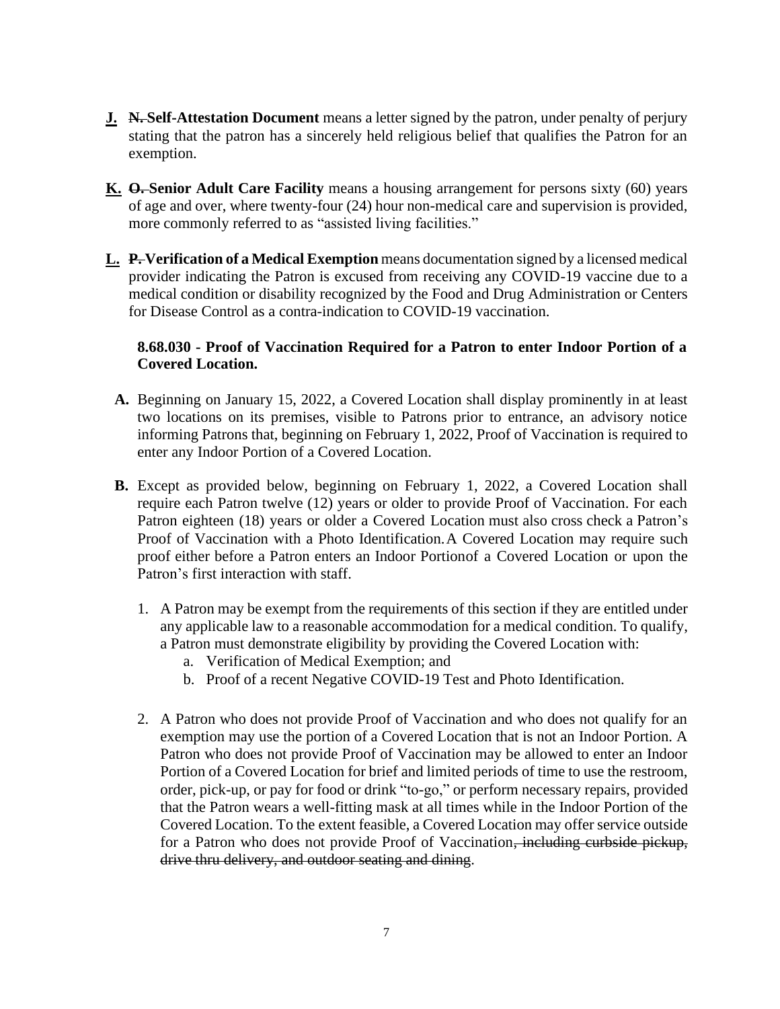- **J. N. Self-Attestation Document** means a letter signed by the patron, under penalty of perjury stating that the patron has a sincerely held religious belief that qualifies the Patron for an exemption.
- **K. O. Senior Adult Care Facility** means a housing arrangement for persons sixty (60) years of age and over, where twenty-four (24) hour non-medical care and supervision is provided, more commonly referred to as "assisted living facilities."
- **L. P. Verification of a Medical Exemption** means documentation signed by a licensed medical provider indicating the Patron is excused from receiving any COVID-19 vaccine due to a medical condition or disability recognized by the Food and Drug Administration or Centers for Disease Control as a contra-indication to COVID-19 vaccination.

## **8.68.030 - Proof of Vaccination Required for a Patron to enter Indoor Portion of a Covered Location.**

- **A.** Beginning on January 15, 2022, a Covered Location shall display prominently in at least two locations on its premises, visible to Patrons prior to entrance, an advisory notice informing Patrons that, beginning on February 1, 2022, Proof of Vaccination is required to enter any Indoor Portion of a Covered Location.
- **B.** Except as provided below, beginning on February 1, 2022, a Covered Location shall require each Patron twelve (12) years or older to provide Proof of Vaccination. For each Patron eighteen (18) years or older a Covered Location must also cross check a Patron's Proof of Vaccination with a Photo Identification.A Covered Location may require such proof either before a Patron enters an Indoor Portionof a Covered Location or upon the Patron's first interaction with staff.
	- 1. A Patron may be exempt from the requirements of this section if they are entitled under any applicable law to a reasonable accommodation for a medical condition. To qualify, a Patron must demonstrate eligibility by providing the Covered Location with:
		- a. Verification of Medical Exemption; and
		- b. Proof of a recent Negative COVID-19 Test and Photo Identification.
	- 2. A Patron who does not provide Proof of Vaccination and who does not qualify for an exemption may use the portion of a Covered Location that is not an Indoor Portion. A Patron who does not provide Proof of Vaccination may be allowed to enter an Indoor Portion of a Covered Location for brief and limited periods of time to use the restroom, order, pick-up, or pay for food or drink "to-go," or perform necessary repairs, provided that the Patron wears a well-fitting mask at all times while in the Indoor Portion of the Covered Location. To the extent feasible, a Covered Location may offer service outside for a Patron who does not provide Proof of Vaccination, including curbside pickup, drive thru delivery, and outdoor seating and dining.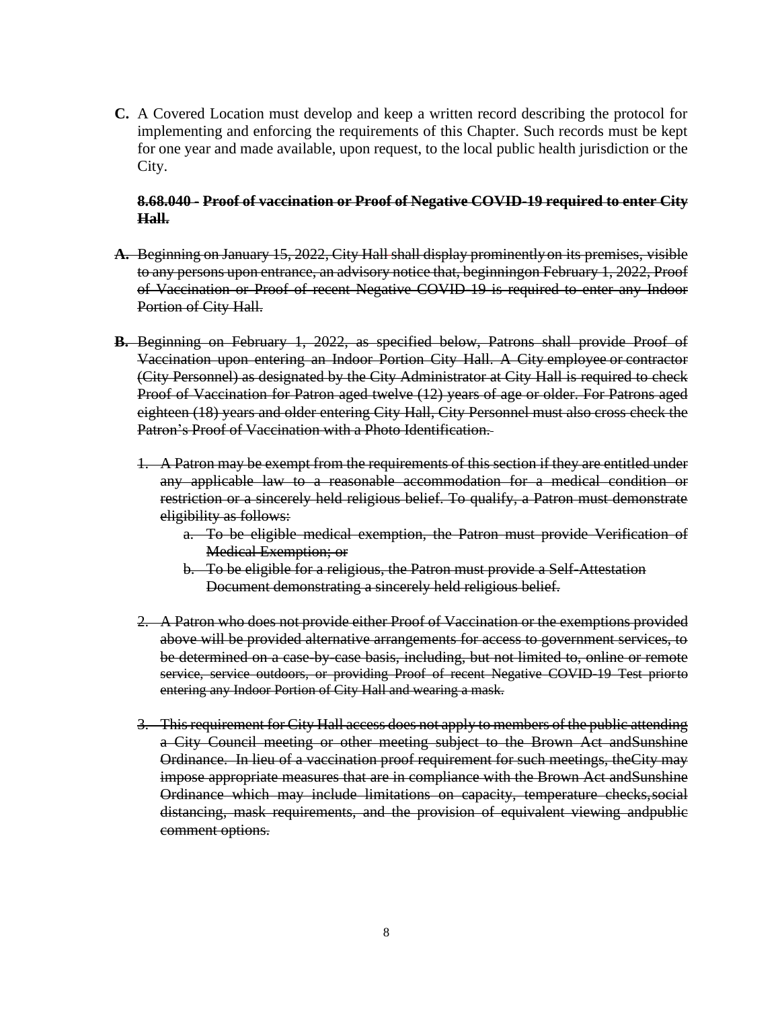**C.** A Covered Location must develop and keep a written record describing the protocol for implementing and enforcing the requirements of this Chapter. Such records must be kept for one year and made available, upon request, to the local public health jurisdiction or the City.

#### **8.68.040 - Proof of vaccination or Proof of Negative COVID-19 required to enter City Hall.**

- **A.** Beginning on January 15, 2022, City Hall shall display prominently on its premises, visible to any persons upon entrance, an advisory notice that, beginningon February 1, 2022, Proof of Vaccination or Proof of recent Negative COVID-19 is required to enter any Indoor Portion of City Hall.
- **B.** Beginning on February 1, 2022, as specified below, Patrons shall provide Proof of Vaccination upon entering an Indoor Portion City Hall. A City employee or contractor (City Personnel) as designated by the City Administrator at City Hall is required to check Proof of Vaccination for Patron aged twelve (12) years of age or older. For Patrons aged eighteen (18) years and older entering City Hall, City Personnel must also cross check the Patron's Proof of Vaccination with a Photo Identification.
	- 1. A Patron may be exempt from the requirements of this section if they are entitled under any applicable law to a reasonable accommodation for a medical condition or restriction or a sincerely held religious belief. To qualify, a Patron must demonstrate eligibility as follows:
		- a. To be eligible medical exemption, the Patron must provide Verification of Medical Exemption; or
		- b. To be eligible for a religious, the Patron must provide a Self-Attestation Document demonstrating a sincerely held religious belief.
	- 2. A Patron who does not provide either Proof of Vaccination or the exemptions provided above will be provided alternative arrangements for access to government services, to be determined on a case-by-case basis, including, but not limited to, online or remote service, service outdoors, or providing Proof of recent Negative COVID-19 Test priorto entering any Indoor Portion of City Hall and wearing a mask.
	- 3. This requirement for City Hall access does not apply to members of the public attending a City Council meeting or other meeting subject to the Brown Act andSunshine Ordinance. In lieu of a vaccination proof requirement for such meetings, theCity may impose appropriate measures that are in compliance with the Brown Act andSunshine Ordinance which may include limitations on capacity, temperature checks,social distancing, mask requirements, and the provision of equivalent viewing andpublic comment options.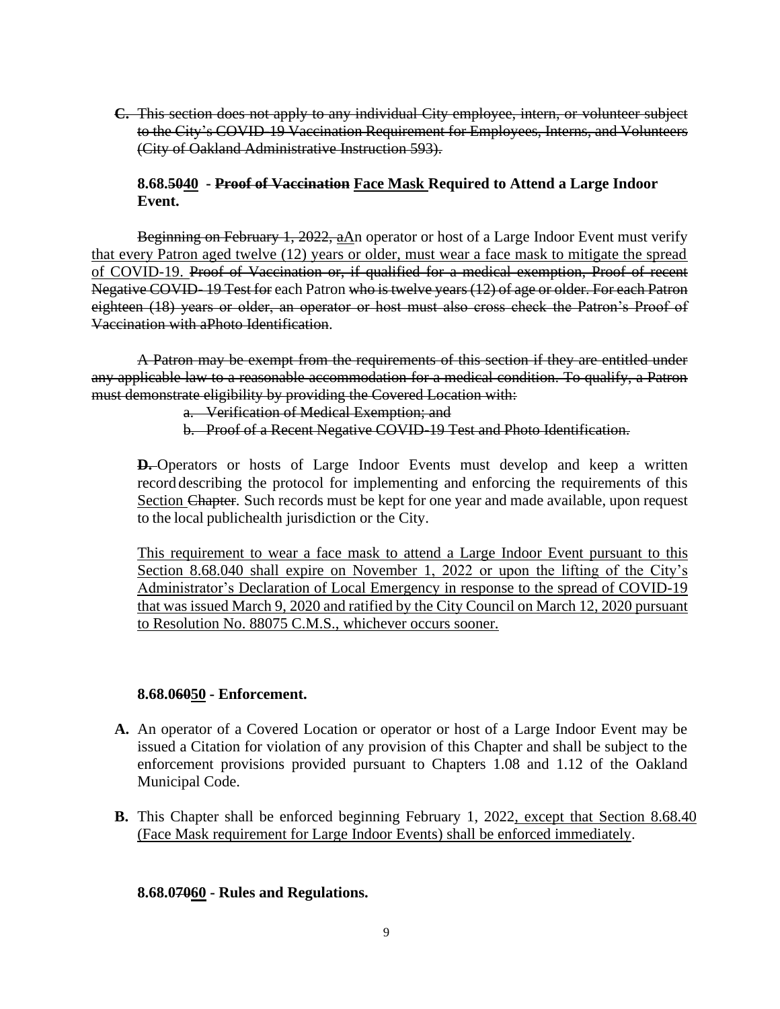**C.** This section does not apply to any individual City employee, intern, or volunteer subject to the City's COVID-19 Vaccination Requirement for Employees, Interns, and Volunteers (City of Oakland Administrative Instruction 593).

## **8.68.5040 - Proof of Vaccination Face Mask Required to Attend a Large Indoor Event.**

Beginning on February 1, 2022, aAn operator or host of a Large Indoor Event must verify that every Patron aged twelve (12) years or older, must wear a face mask to mitigate the spread of COVID-19. Proof of Vaccination or, if qualified for a medical exemption, Proof of recent Negative COVID- 19 Test for each Patron who is twelve years (12) of age or older. For each Patron eighteen (18) years or older, an operator or host must also cross check the Patron's Proof of Vaccination with aPhoto Identification.

A Patron may be exempt from the requirements of this section if they are entitled under any applicable law to a reasonable accommodation for a medical condition. To qualify, a Patron must demonstrate eligibility by providing the Covered Location with:

- a. Verification of Medical Exemption; and
- b. Proof of a Recent Negative COVID-19 Test and Photo Identification.

**D.** Operators or hosts of Large Indoor Events must develop and keep a written record describing the protocol for implementing and enforcing the requirements of this Section Chapter. Such records must be kept for one year and made available, upon request to the local publichealth jurisdiction or the City.

This requirement to wear a face mask to attend a Large Indoor Event pursuant to this Section 8.68.040 shall expire on November 1, 2022 or upon the lifting of the City's Administrator's Declaration of Local Emergency in response to the spread of COVID-19 that was issued March 9, 2020 and ratified by the City Council on March 12, 2020 pursuant to Resolution No. 88075 C.M.S., whichever occurs sooner.

## **8.68.06050 - Enforcement.**

- **A.** An operator of a Covered Location or operator or host of a Large Indoor Event may be issued a Citation for violation of any provision of this Chapter and shall be subject to the enforcement provisions provided pursuant to Chapters 1.08 and 1.12 of the Oakland Municipal Code.
- **B.** This Chapter shall be enforced beginning February 1, 2022, except that Section 8.68.40 (Face Mask requirement for Large Indoor Events) shall be enforced immediately.

#### **8.68.07060 - Rules and Regulations.**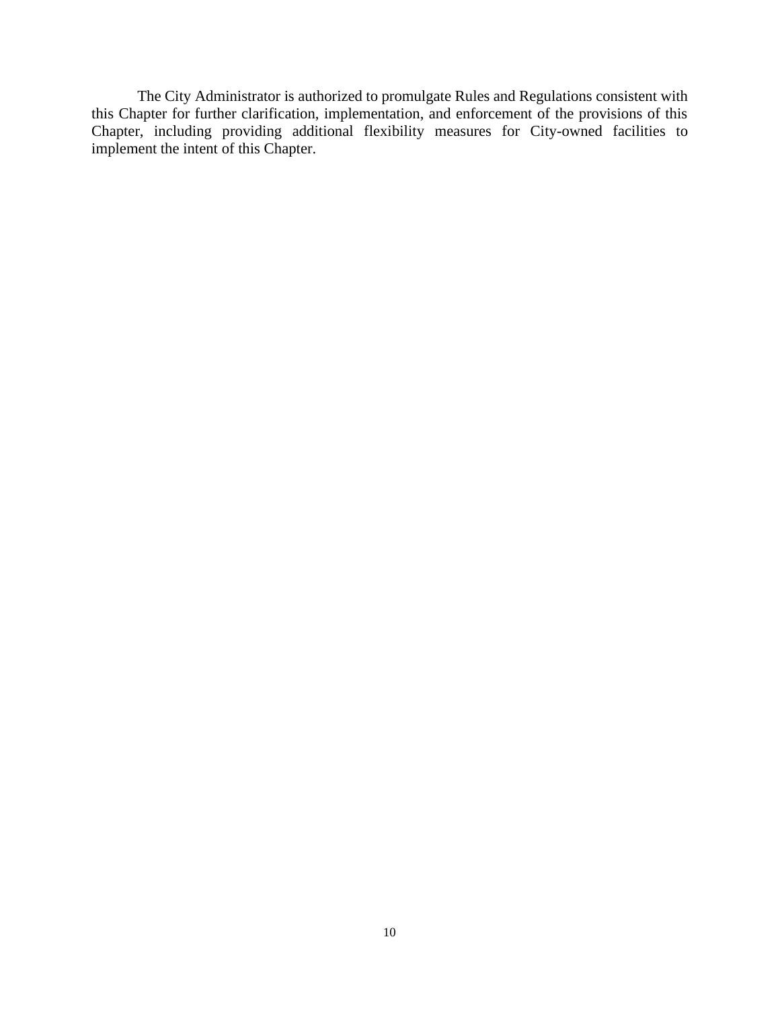The City Administrator is authorized to promulgate Rules and Regulations consistent with this Chapter for further clarification, implementation, and enforcement of the provisions of this Chapter, including providing additional flexibility measures for City-owned facilities to implement the intent of this Chapter.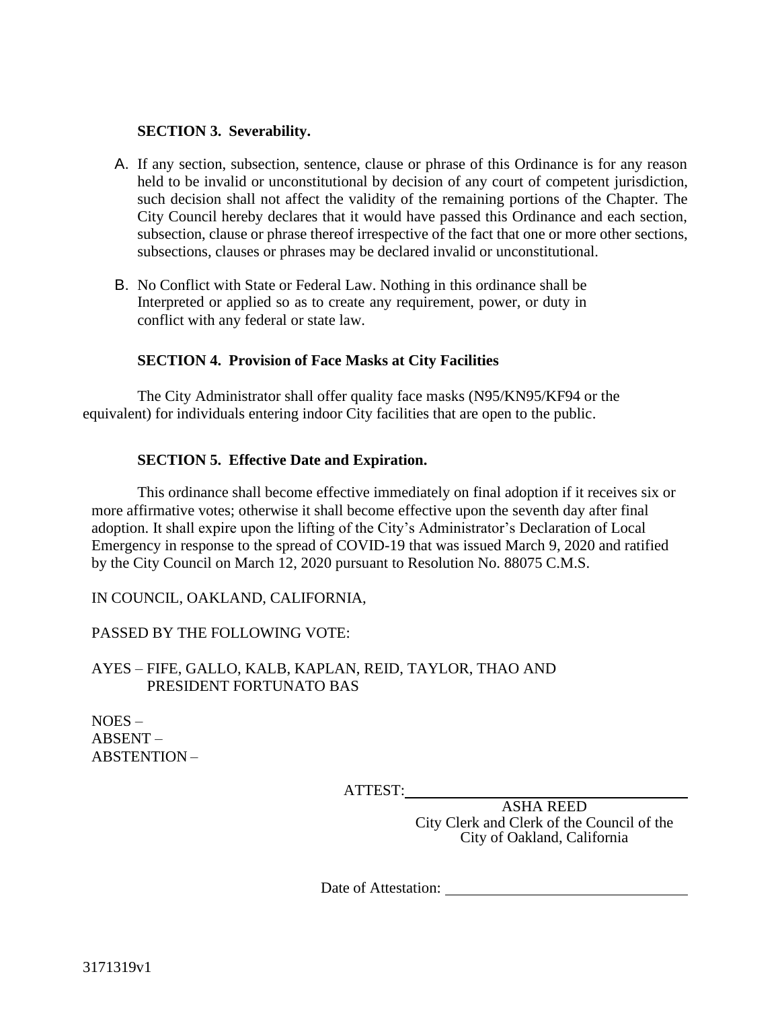## **SECTION 3. Severability.**

- A. If any section, subsection, sentence, clause or phrase of this Ordinance is for any reason held to be invalid or unconstitutional by decision of any court of competent jurisdiction, such decision shall not affect the validity of the remaining portions of the Chapter. The City Council hereby declares that it would have passed this Ordinance and each section, subsection, clause or phrase thereof irrespective of the fact that one or more other sections, subsections, clauses or phrases may be declared invalid or unconstitutional.
- B. No Conflict with State or Federal Law. Nothing in this ordinance shall be Interpreted or applied so as to create any requirement, power, or duty in conflict with any federal or state law.

#### **SECTION 4. Provision of Face Masks at City Facilities**

The City Administrator shall offer quality face masks (N95/KN95/KF94 or the equivalent) for individuals entering indoor City facilities that are open to the public.

#### **SECTION 5. Effective Date and Expiration.**

This ordinance shall become effective immediately on final adoption if it receives six or more affirmative votes; otherwise it shall become effective upon the seventh day after final adoption. It shall expire upon the lifting of the City's Administrator's Declaration of Local Emergency in response to the spread of COVID-19 that was issued March 9, 2020 and ratified by the City Council on March 12, 2020 pursuant to Resolution No. 88075 C.M.S.

IN COUNCIL, OAKLAND, CALIFORNIA,

#### PASSED BY THE FOLLOWING VOTE:

AYES – FIFE, GALLO, KALB, KAPLAN, REID, TAYLOR, THAO AND PRESIDENT FORTUNATO BAS

 $NOES -$ ABSENT – ABSTENTION –

ATTEST:

ASHA REED City Clerk and Clerk of the Council of the City of Oakland, California

Date of Attestation: